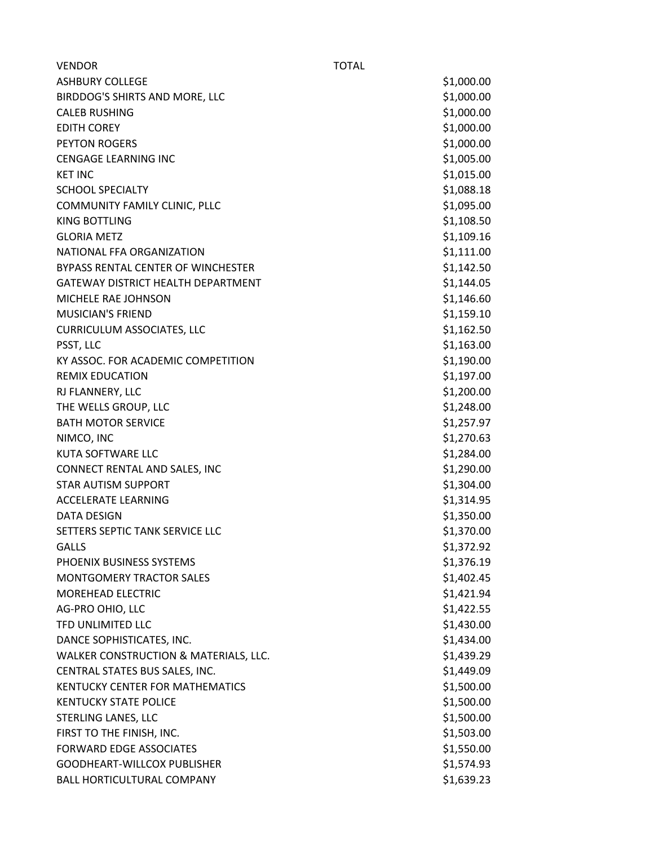| <b>VENDOR</b>                         | <b>TOTAL</b> |            |
|---------------------------------------|--------------|------------|
| <b>ASHBURY COLLEGE</b>                |              | \$1,000.00 |
| BIRDDOG'S SHIRTS AND MORE, LLC        |              | \$1,000.00 |
| <b>CALEB RUSHING</b>                  |              | \$1,000.00 |
| <b>EDITH COREY</b>                    |              | \$1,000.00 |
| <b>PEYTON ROGERS</b>                  |              | \$1,000.00 |
| <b>CENGAGE LEARNING INC</b>           |              | \$1,005.00 |
| <b>KET INC</b>                        |              | \$1,015.00 |
| <b>SCHOOL SPECIALTY</b>               |              | \$1,088.18 |
| COMMUNITY FAMILY CLINIC, PLLC         |              | \$1,095.00 |
| <b>KING BOTTLING</b>                  |              | \$1,108.50 |
| <b>GLORIA METZ</b>                    |              | \$1,109.16 |
| NATIONAL FFA ORGANIZATION             |              | \$1,111.00 |
| BYPASS RENTAL CENTER OF WINCHESTER    |              | \$1,142.50 |
| GATEWAY DISTRICT HEALTH DEPARTMENT    |              | \$1,144.05 |
| MICHELE RAE JOHNSON                   |              | \$1,146.60 |
| <b>MUSICIAN'S FRIEND</b>              |              | \$1,159.10 |
| <b>CURRICULUM ASSOCIATES, LLC</b>     |              | \$1,162.50 |
| PSST, LLC                             |              | \$1,163.00 |
| KY ASSOC. FOR ACADEMIC COMPETITION    |              | \$1,190.00 |
| <b>REMIX EDUCATION</b>                |              | \$1,197.00 |
| RJ FLANNERY, LLC                      |              | \$1,200.00 |
| THE WELLS GROUP, LLC                  |              | \$1,248.00 |
| <b>BATH MOTOR SERVICE</b>             |              | \$1,257.97 |
| NIMCO, INC                            |              | \$1,270.63 |
| <b>KUTA SOFTWARE LLC</b>              |              | \$1,284.00 |
| CONNECT RENTAL AND SALES, INC         |              | \$1,290.00 |
| <b>STAR AUTISM SUPPORT</b>            |              | \$1,304.00 |
| <b>ACCELERATE LEARNING</b>            |              | \$1,314.95 |
| <b>DATA DESIGN</b>                    |              | \$1,350.00 |
| SETTERS SEPTIC TANK SERVICE LLC       |              | \$1,370.00 |
| <b>GALLS</b>                          |              | \$1,372.92 |
| PHOENIX BUSINESS SYSTEMS              |              | \$1,376.19 |
| <b>MONTGOMERY TRACTOR SALES</b>       |              | \$1,402.45 |
| <b>MOREHEAD ELECTRIC</b>              |              | \$1,421.94 |
| AG-PRO OHIO, LLC                      |              | \$1,422.55 |
| TFD UNLIMITED LLC                     |              | \$1,430.00 |
| DANCE SOPHISTICATES, INC.             |              | \$1,434.00 |
| WALKER CONSTRUCTION & MATERIALS, LLC. |              | \$1,439.29 |
| CENTRAL STATES BUS SALES, INC.        |              | \$1,449.09 |
| KENTUCKY CENTER FOR MATHEMATICS       |              | \$1,500.00 |
| <b>KENTUCKY STATE POLICE</b>          |              | \$1,500.00 |
| STERLING LANES, LLC                   |              | \$1,500.00 |
| FIRST TO THE FINISH, INC.             |              | \$1,503.00 |
| <b>FORWARD EDGE ASSOCIATES</b>        |              | \$1,550.00 |
| <b>GOODHEART-WILLCOX PUBLISHER</b>    |              | \$1,574.93 |
| BALL HORTICULTURAL COMPANY            |              | \$1,639.23 |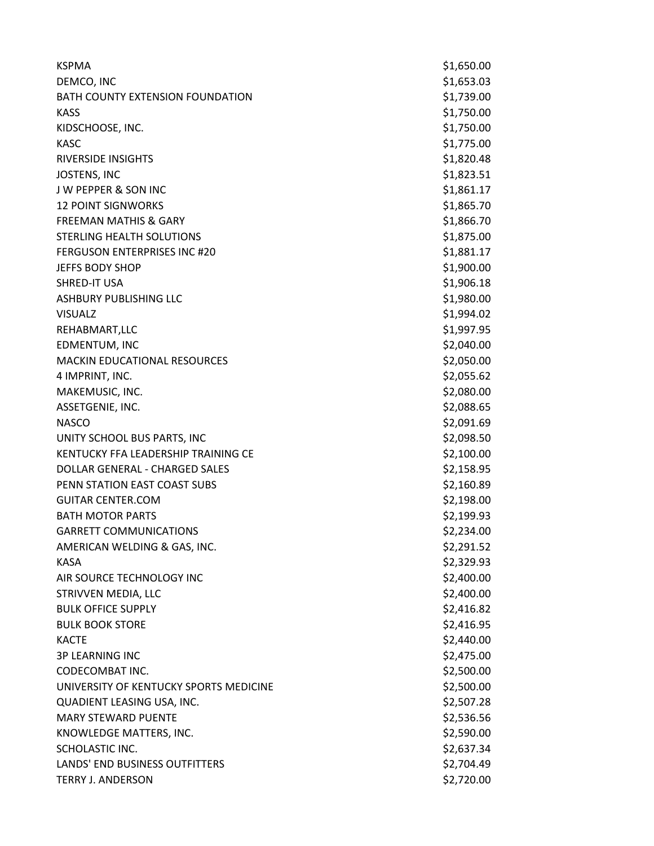| <b>KSPMA</b>                            | \$1,650.00 |
|-----------------------------------------|------------|
| DEMCO, INC                              | \$1,653.03 |
| <b>BATH COUNTY EXTENSION FOUNDATION</b> | \$1,739.00 |
| <b>KASS</b>                             | \$1,750.00 |
| KIDSCHOOSE, INC.                        | \$1,750.00 |
| <b>KASC</b>                             | \$1,775.00 |
| <b>RIVERSIDE INSIGHTS</b>               | \$1,820.48 |
| <b>JOSTENS, INC</b>                     | \$1,823.51 |
| <b>JW PEPPER &amp; SON INC</b>          | \$1,861.17 |
| <b>12 POINT SIGNWORKS</b>               | \$1,865.70 |
| <b>FREEMAN MATHIS &amp; GARY</b>        | \$1,866.70 |
| STERLING HEALTH SOLUTIONS               | \$1,875.00 |
| <b>FERGUSON ENTERPRISES INC #20</b>     | \$1,881.17 |
| <b>JEFFS BODY SHOP</b>                  | \$1,900.00 |
| SHRED-IT USA                            | \$1,906.18 |
| <b>ASHBURY PUBLISHING LLC</b>           | \$1,980.00 |
| <b>VISUALZ</b>                          | \$1,994.02 |
| REHABMART, LLC                          | \$1,997.95 |
| EDMENTUM, INC                           | \$2,040.00 |
| <b>MACKIN EDUCATIONAL RESOURCES</b>     | \$2,050.00 |
| 4 IMPRINT, INC.                         | \$2,055.62 |
| MAKEMUSIC, INC.                         | \$2,080.00 |
| ASSETGENIE, INC.                        | \$2,088.65 |
| <b>NASCO</b>                            | \$2,091.69 |
| UNITY SCHOOL BUS PARTS, INC             | \$2,098.50 |
| KENTUCKY FFA LEADERSHIP TRAINING CE     | \$2,100.00 |
| DOLLAR GENERAL - CHARGED SALES          | \$2,158.95 |
| PENN STATION EAST COAST SUBS            | \$2,160.89 |
| <b>GUITAR CENTER.COM</b>                | \$2,198.00 |
| <b>BATH MOTOR PARTS</b>                 | \$2,199.93 |
| <b>GARRETT COMMUNICATIONS</b>           | \$2,234.00 |
| AMERICAN WELDING & GAS, INC.            | \$2,291.52 |
| <b>KASA</b>                             | \$2,329.93 |
| AIR SOURCE TECHNOLOGY INC               | \$2,400.00 |
| STRIVVEN MEDIA, LLC                     | \$2,400.00 |
| <b>BULK OFFICE SUPPLY</b>               | \$2,416.82 |
| <b>BULK BOOK STORE</b>                  | \$2,416.95 |
| <b>KACTE</b>                            | \$2,440.00 |
| <b>3P LEARNING INC</b>                  | \$2,475.00 |
| CODECOMBAT INC.                         | \$2,500.00 |
| UNIVERSITY OF KENTUCKY SPORTS MEDICINE  | \$2,500.00 |
| QUADIENT LEASING USA, INC.              | \$2,507.28 |
| <b>MARY STEWARD PUENTE</b>              | \$2,536.56 |
| KNOWLEDGE MATTERS, INC.                 | \$2,590.00 |
| SCHOLASTIC INC.                         | \$2,637.34 |
| LANDS' END BUSINESS OUTFITTERS          | \$2,704.49 |
| <b>TERRY J. ANDERSON</b>                | \$2,720.00 |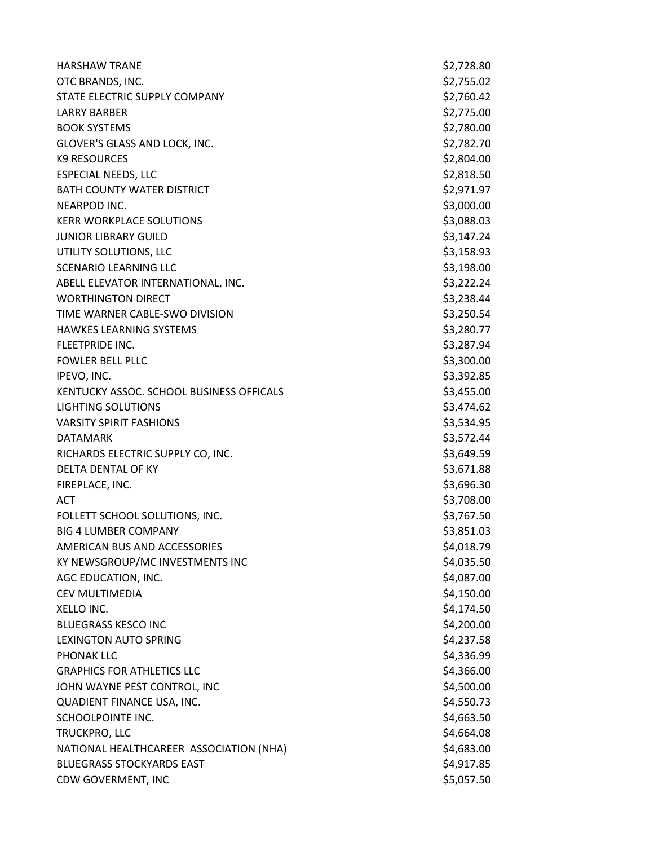| <b>HARSHAW TRANE</b>                     | \$2,728.80 |
|------------------------------------------|------------|
| OTC BRANDS, INC.                         | \$2,755.02 |
| STATE ELECTRIC SUPPLY COMPANY            | \$2,760.42 |
| <b>LARRY BARBER</b>                      | \$2,775.00 |
| <b>BOOK SYSTEMS</b>                      | \$2,780.00 |
| GLOVER'S GLASS AND LOCK, INC.            | \$2,782.70 |
| <b>K9 RESOURCES</b>                      | \$2,804.00 |
| <b>ESPECIAL NEEDS, LLC</b>               | \$2,818.50 |
| <b>BATH COUNTY WATER DISTRICT</b>        | \$2,971.97 |
| NEARPOD INC.                             | \$3,000.00 |
| <b>KERR WORKPLACE SOLUTIONS</b>          | \$3,088.03 |
| <b>JUNIOR LIBRARY GUILD</b>              | \$3,147.24 |
| UTILITY SOLUTIONS, LLC                   | \$3,158.93 |
| <b>SCENARIO LEARNING LLC</b>             | \$3,198.00 |
| ABELL ELEVATOR INTERNATIONAL, INC.       | \$3,222.24 |
| <b>WORTHINGTON DIRECT</b>                | \$3,238.44 |
| TIME WARNER CABLE-SWO DIVISION           | \$3,250.54 |
| <b>HAWKES LEARNING SYSTEMS</b>           | \$3,280.77 |
| FLEETPRIDE INC.                          | \$3,287.94 |
| <b>FOWLER BELL PLLC</b>                  | \$3,300.00 |
| IPEVO, INC.                              | \$3,392.85 |
| KENTUCKY ASSOC. SCHOOL BUSINESS OFFICALS | \$3,455.00 |
| <b>LIGHTING SOLUTIONS</b>                | \$3,474.62 |
| <b>VARSITY SPIRIT FASHIONS</b>           | \$3,534.95 |
| <b>DATAMARK</b>                          | \$3,572.44 |
| RICHARDS ELECTRIC SUPPLY CO, INC.        | \$3,649.59 |
| DELTA DENTAL OF KY                       | \$3,671.88 |
| FIREPLACE, INC.                          | \$3,696.30 |
| <b>ACT</b>                               | \$3,708.00 |
| FOLLETT SCHOOL SOLUTIONS, INC.           | \$3,767.50 |
| <b>BIG 4 LUMBER COMPANY</b>              | \$3,851.03 |
| AMERICAN BUS AND ACCESSORIES             | \$4,018.79 |
| KY NEWSGROUP/MC INVESTMENTS INC          | \$4,035.50 |
| AGC EDUCATION, INC.                      | \$4,087.00 |
| CEV MULTIMEDIA                           | \$4,150.00 |
| XELLO INC.                               | \$4,174.50 |
| <b>BLUEGRASS KESCO INC</b>               | \$4,200.00 |
| <b>LEXINGTON AUTO SPRING</b>             | \$4,237.58 |
| PHONAK LLC                               | \$4,336.99 |
| <b>GRAPHICS FOR ATHLETICS LLC</b>        | \$4,366.00 |
| JOHN WAYNE PEST CONTROL, INC             | \$4,500.00 |
| QUADIENT FINANCE USA, INC.               | \$4,550.73 |
| SCHOOLPOINTE INC.                        | \$4,663.50 |
| TRUCKPRO, LLC                            | \$4,664.08 |
| NATIONAL HEALTHCAREER ASSOCIATION (NHA)  | \$4,683.00 |
| <b>BLUEGRASS STOCKYARDS EAST</b>         | \$4,917.85 |
| CDW GOVERMENT, INC                       | \$5,057.50 |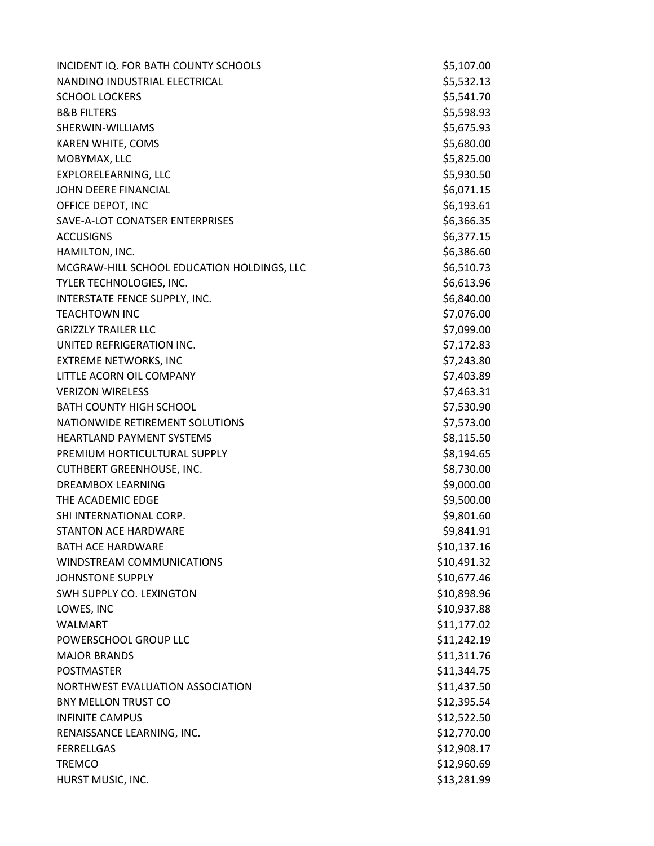| INCIDENT IQ. FOR BATH COUNTY SCHOOLS       | \$5,107.00  |
|--------------------------------------------|-------------|
| NANDINO INDUSTRIAL ELECTRICAL              | \$5,532.13  |
| <b>SCHOOL LOCKERS</b>                      | \$5,541.70  |
| <b>B&amp;B FILTERS</b>                     | \$5,598.93  |
| SHERWIN-WILLIAMS                           | \$5,675.93  |
| KAREN WHITE, COMS                          | \$5,680.00  |
| MOBYMAX, LLC                               | \$5,825.00  |
| EXPLORELEARNING, LLC                       | \$5,930.50  |
| JOHN DEERE FINANCIAL                       | \$6,071.15  |
| OFFICE DEPOT, INC                          | \$6,193.61  |
| SAVE-A-LOT CONATSER ENTERPRISES            | \$6,366.35  |
| <b>ACCUSIGNS</b>                           | \$6,377.15  |
| HAMILTON, INC.                             | \$6,386.60  |
| MCGRAW-HILL SCHOOL EDUCATION HOLDINGS, LLC | \$6,510.73  |
| TYLER TECHNOLOGIES, INC.                   | \$6,613.96  |
| INTERSTATE FENCE SUPPLY, INC.              | \$6,840.00  |
| <b>TEACHTOWN INC</b>                       | \$7,076.00  |
| <b>GRIZZLY TRAILER LLC</b>                 | \$7,099.00  |
| UNITED REFRIGERATION INC.                  | \$7,172.83  |
| <b>EXTREME NETWORKS, INC</b>               | \$7,243.80  |
| LITTLE ACORN OIL COMPANY                   | \$7,403.89  |
| <b>VERIZON WIRELESS</b>                    | \$7,463.31  |
| <b>BATH COUNTY HIGH SCHOOL</b>             | \$7,530.90  |
| NATIONWIDE RETIREMENT SOLUTIONS            | \$7,573.00  |
| <b>HEARTLAND PAYMENT SYSTEMS</b>           | \$8,115.50  |
| PREMIUM HORTICULTURAL SUPPLY               | \$8,194.65  |
| <b>CUTHBERT GREENHOUSE, INC.</b>           | \$8,730.00  |
| <b>DREAMBOX LEARNING</b>                   | \$9,000.00  |
| THE ACADEMIC EDGE                          | \$9,500.00  |
| SHI INTERNATIONAL CORP.                    | \$9,801.60  |
| <b>STANTON ACE HARDWARE</b>                | \$9,841.91  |
| <b>BATH ACE HARDWARE</b>                   | \$10,137.16 |
| WINDSTREAM COMMUNICATIONS                  | \$10,491.32 |
| <b>JOHNSTONE SUPPLY</b>                    | \$10,677.46 |
| SWH SUPPLY CO. LEXINGTON                   | \$10,898.96 |
| LOWES, INC                                 | \$10,937.88 |
| <b>WALMART</b>                             | \$11,177.02 |
| POWERSCHOOL GROUP LLC                      | \$11,242.19 |
| <b>MAJOR BRANDS</b>                        | \$11,311.76 |
| <b>POSTMASTER</b>                          | \$11,344.75 |
| NORTHWEST EVALUATION ASSOCIATION           | \$11,437.50 |
| <b>BNY MELLON TRUST CO</b>                 | \$12,395.54 |
| <b>INFINITE CAMPUS</b>                     | \$12,522.50 |
| RENAISSANCE LEARNING, INC.                 | \$12,770.00 |
| <b>FERRELLGAS</b>                          | \$12,908.17 |
| <b>TREMCO</b>                              | \$12,960.69 |
| HURST MUSIC, INC.                          | \$13,281.99 |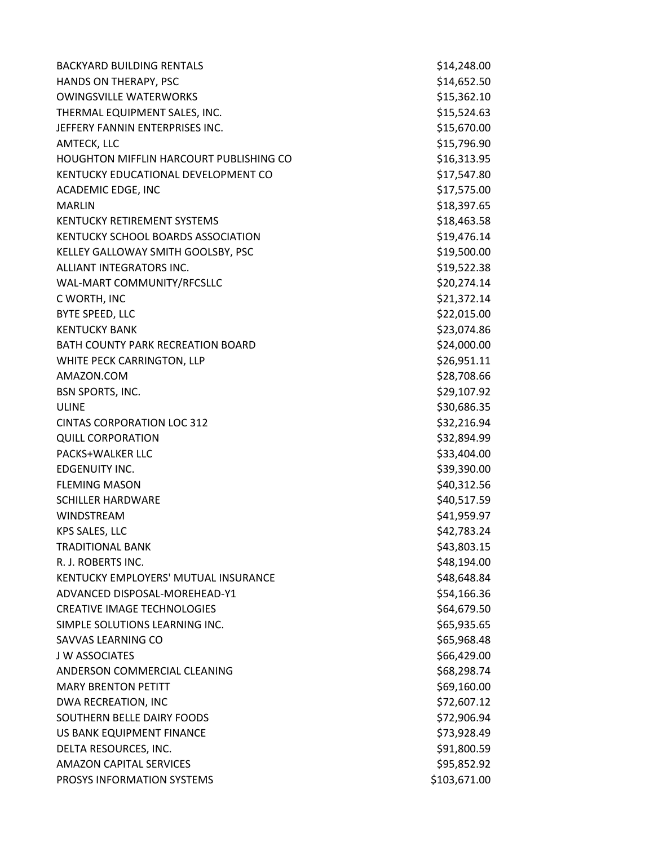BACKYARD BUILDING RENTALS \$14,248.00 HANDS ON THERAPY, PSC **\$14,652.50** \$14,652.50 OWINGSVILLE WATERWORKS **\$15,362.10** \$15,362.10 THERMAL EQUIPMENT SALES, INC. \$15,524.63 JEFFERY FANNIN ENTERPRISES INC. THE SERVICE SERVICE SERVICE SERVICE SERVICE SERVICE SERVICE SERVICE SERVICE SE AMTECK, LLC \$15,796.90 HOUGHTON MIFFLIN HARCOURT PUBLISHING CO **\$16,313.95** KENTUCKY EDUCATIONAL DEVELOPMENT CO \$17,547.80 ACADEMIC EDGE, INC \$17,575.00 MARLIN \$18,397.65 KENTUCKY RETIREMENT SYSTEMS \$18,463.58 KENTUCKY SCHOOL BOARDS ASSOCIATION \$19,476.14 KELLEY GALLOWAY SMITH GOOLSBY, PSC \$19,500.00 ALLIANT INTEGRATORS INC. \$19,522.38 WAL-MART COMMUNITY/RFCSLLC \$20,274.14  $C$  WORTH, INC  $\lesssim$  21,372.14 BYTE SPEED, LLC \$22,015.00 KENTUCKY BANK \$23,074.86 BATH COUNTY PARK RECREATION BOARD \$24,000.00 WHITE PECK CARRINGTON, LLP \$26,951.11 AMAZON.COM \$28,708.66 BSN SPORTS, INC. 6. 2002. 2012. The SECRET SERVICE SERVICE SERVICE SERVICE SERVICE SERVICE SERVICE SERVICE SERVICE SERVICE SERVICE SERVICE SERVICE SERVICE SERVICE SERVICE SERVICE SERVICE SERVICE SERVICE SERVICE SERVICE SER ULINE \$30,686.35 CINTAS CORPORATION LOC 312 \$32,216.94 QUILL CORPORATION \$32,894.99 PACKS+WALKER LLC **but a struck of the struck of the struck of the struck of the struck of the struck of the struck of the struck of the struck of the struck of the struck of the struck of the struck of the struck of the st** EDGENUITY INC. \$39,390.00 FLEMING MASON \$40,312.56 SCHILLER HARDWARE \$40,517.59 WINDSTREAM  $\lesssim 41,959.97$ KPS SALES, LLC  $$42,783.24$ TRADITIONAL BANK \$43,803.15 R. J. ROBERTS INC. **And Election Contract Contract Contract Contract Contract Contract Contract Contract Contract Contract Contract Contract Contract Contract Contract Contract Contract Contract Contract Contract Contract** KENTUCKY EMPLOYERS' MUTUAL INSURANCE \$48,648.84 ADVANCED DISPOSAL-MOREHEAD-Y1 \$54,166.36 CREATIVE IMAGE TECHNOLOGIES \$64,679.50 SIMPLE SOLUTIONS LEARNING INC. The state of the state of the state of the state of the state of the state of the state of the state of the state of the state of the state of the state of the state of the state of the state SAVVAS LEARNING CO **\$65,968.48** \$65,968.48 J W ASSOCIATES \$66,429.00 ANDERSON COMMERCIAL CLEANING **\$68,298.74** MARY BRENTON PETITT **1996** CONTROL 100 MARY BRENTON PETITT DWA RECREATION, INC **EXECUTE: 1.12.12 SET AND A STATE OF A STATE OF A STATE OF A STATE OF A STATE OF A STATE OF A STATE OF A STATE OF A STATE OF A STATE OF A STATE OF A STATE OF A STATE OF A STATE OF A STATE OF A STATE OF** SOUTHERN BELLE DAIRY FOODS \$72,906.94 US BANK EQUIPMENT FINANCE **\$73,928.49** DELTA RESOURCES, INC. \$91,800.59 AMAZON CAPITAL SERVICES **\$95,852.92** PROSYS INFORMATION SYSTEMS **SUPPROSYS INFORMATION** STORIES